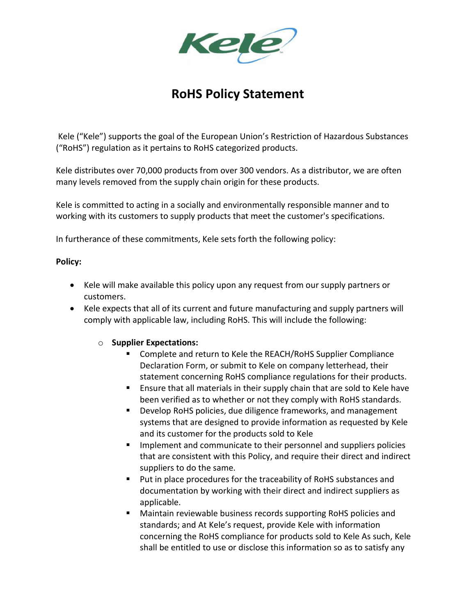

# **RoHS Policy Statement**

Kele ("Kele") supports the goal of the European Union's Restriction of Hazardous Substances ("RoHS") regulation as it pertains to RoHS categorized products.

Kele distributes over 70,000 products from over 300 vendors. As a distributor, we are often many levels removed from the supply chain origin for these products.

Kele is committed to acting in a socially and environmentally responsible manner and to working with its customers to supply products that meet the customer's specifications.

In furtherance of these commitments, Kele sets forth the following policy:

### **Policy:**

- Kele will make available this policy upon any request from our supply partners or customers.
- Kele expects that all of its current and future manufacturing and supply partners will comply with applicable law, including RoHS. This will include the following:

# o **Supplier Expectations:**

- Complete and return to Kele the REACH/RoHS Supplier Compliance Declaration Form, or submit to Kele on company letterhead, their statement concerning RoHS compliance regulations for their products.
- Ensure that all materials in their supply chain that are sold to Kele have been verified as to whether or not they comply with RoHS standards.
- Develop RoHS policies, due diligence frameworks, and management systems that are designed to provide information as requested by Kele and its customer for the products sold to Kele
- **IMPLEMENTE IMPLEMENT IMPLEM** Implement and suppliers policies that are consistent with this Policy, and require their direct and indirect suppliers to do the same.
- **Put in place procedures for the traceability of RoHS substances and** documentation by working with their direct and indirect suppliers as applicable.
- Maintain reviewable business records supporting RoHS policies and standards; and At Kele's request, provide Kele with information concerning the RoHS compliance for products sold to Kele As such, Kele shall be entitled to use or disclose this information so as to satisfy any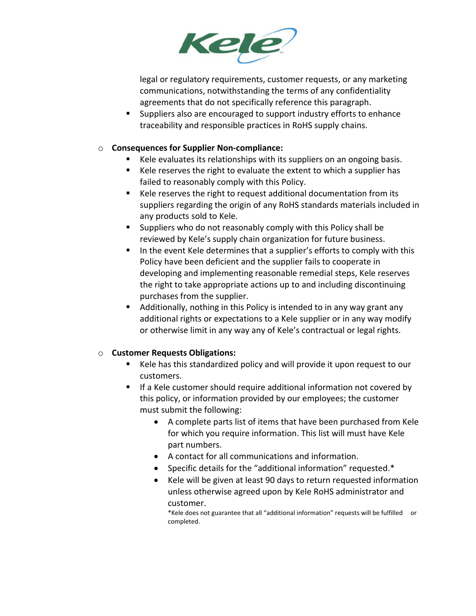

legal or regulatory requirements, customer requests, or any marketing communications, notwithstanding the terms of any confidentiality agreements that do not specifically reference this paragraph.

 Suppliers also are encouraged to support industry efforts to enhance traceability and responsible practices in RoHS supply chains.

### o **Consequences for Supplier Non-compliance:**

- Kele evaluates its relationships with its suppliers on an ongoing basis.
- Kele reserves the right to evaluate the extent to which a supplier has failed to reasonably comply with this Policy.
- Kele reserves the right to request additional documentation from its suppliers regarding the origin of any RoHS standards materials included in any products sold to Kele.
- Suppliers who do not reasonably comply with this Policy shall be reviewed by Kele's supply chain organization for future business.
- In the event Kele determines that a supplier's efforts to comply with this Policy have been deficient and the supplier fails to cooperate in developing and implementing reasonable remedial steps, Kele reserves the right to take appropriate actions up to and including discontinuing purchases from the supplier.
- Additionally, nothing in this Policy is intended to in any way grant any additional rights or expectations to a Kele supplier or in any way modify or otherwise limit in any way any of Kele's contractual or legal rights.

# o **Customer Requests Obligations:**

- Kele has this standardized policy and will provide it upon request to our customers.
- If a Kele customer should require additional information not covered by this policy, or information provided by our employees; the customer must submit the following:
	- A complete parts list of items that have been purchased from Kele for which you require information. This list will must have Kele part numbers.
	- A contact for all communications and information.
	- Specific details for the "additional information" requested.\*
	- Kele will be given at least 90 days to return requested information unless otherwise agreed upon by Kele RoHS administrator and customer.

\*Kele does not guarantee that all "additional information" requests will be fulfilled or completed.